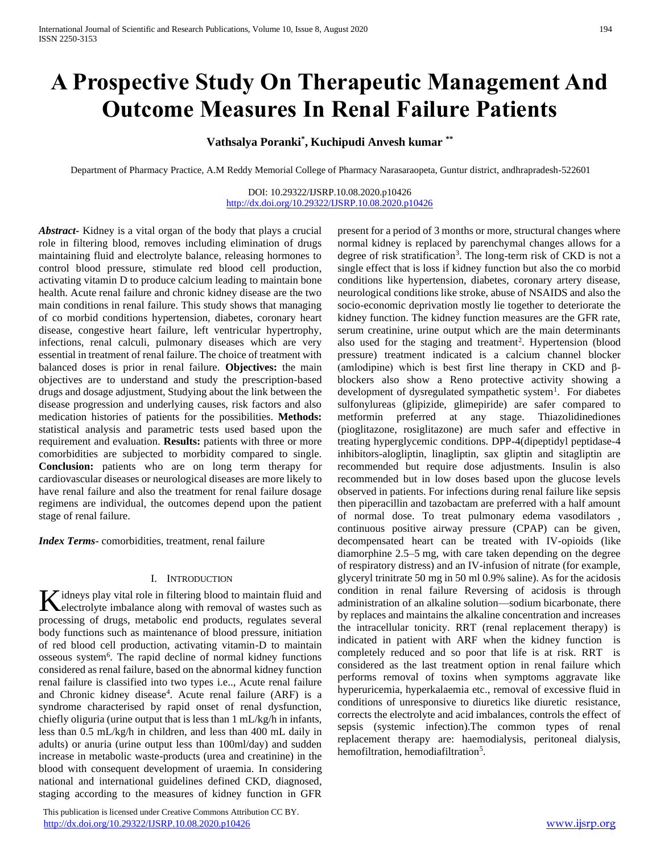# **A Prospective Study On Therapeutic Management And Outcome Measures In Renal Failure Patients**

## **Vathsalya Poranki\* , Kuchipudi Anvesh kumar \*\***

Department of Pharmacy Practice, A.M Reddy Memorial College of Pharmacy Narasaraopeta, Guntur district, andhrapradesh-522601

#### DOI: 10.29322/IJSRP.10.08.2020.p10426 <http://dx.doi.org/10.29322/IJSRP.10.08.2020.p10426>

*Abstract***-** Kidney is a vital organ of the body that plays a crucial role in filtering blood, removes including elimination of drugs maintaining fluid and electrolyte balance, releasing hormones to control blood pressure, stimulate red blood cell production, activating vitamin D to produce calcium leading to maintain bone health. Acute renal failure and chronic kidney disease are the two main conditions in renal failure. This study shows that managing of co morbid conditions hypertension, diabetes, coronary heart disease, congestive heart failure, left ventricular hypertrophy, infections, renal calculi, pulmonary diseases which are very essential in treatment of renal failure. The choice of treatment with balanced doses is prior in renal failure. **Objectives:** the main objectives are to understand and study the prescription-based drugs and dosage adjustment, Studying about the link between the disease progression and underlying causes, risk factors and also medication histories of patients for the possibilities. **Methods:** statistical analysis and parametric tests used based upon the requirement and evaluation. **Results:** patients with three or more comorbidities are subjected to morbidity compared to single. **Conclusion:** patients who are on long term therapy for cardiovascular diseases or neurological diseases are more likely to have renal failure and also the treatment for renal failure dosage regimens are individual, the outcomes depend upon the patient stage of renal failure.

*Index Terms*- comorbidities, treatment, renal failure

## I. INTRODUCTION

 $\tau$  idneys play vital role in filtering blood to maintain fluid and  $\mathbf K$  idneys play vital role in filtering blood to maintain fluid and electrolyte imbalance along with removal of wastes such as processing of drugs, metabolic end products, regulates several body functions such as maintenance of blood pressure, initiation of red blood cell production, activating vitamin-D to maintain osseous system<sup>6</sup>. The rapid decline of normal kidney functions considered as renal failure, based on the abnormal kidney function renal failure is classified into two types i.e.., Acute renal failure and Chronic kidney disease<sup>4</sup>. Acute renal failure (ARF) is a syndrome characterised by rapid onset of renal dysfunction, chiefly oliguria (urine output that is less than 1 mL/kg/h in infants, less than 0.5 mL/kg/h in children, and less than 400 mL daily in adults) or anuria (urine output less than 100ml/day) and sudden increase in metabolic waste-products (urea and creatinine) in the blood with consequent development of uraemia. In considering national and international guidelines defined CKD, diagnosed, staging according to the measures of kidney function in GFR

 This publication is licensed under Creative Commons Attribution CC BY. <http://dx.doi.org/10.29322/IJSRP.10.08.2020.p10426> [www.ijsrp.org](http://ijsrp.org/)

present for a period of 3 months or more, structural changes where normal kidney is replaced by parenchymal changes allows for a degree of risk stratification<sup>3</sup>. The long-term risk of CKD is not a single effect that is loss if kidney function but also the co morbid conditions like hypertension, diabetes, coronary artery disease, neurological conditions like stroke, abuse of NSAIDS and also the socio-economic deprivation mostly lie together to deteriorate the kidney function. The kidney function measures are the GFR rate, serum creatinine, urine output which are the main determinants also used for the staging and treatment<sup>2</sup>. Hypertension (blood pressure) treatment indicated is a calcium channel blocker (amlodipine) which is best first line therapy in CKD and βblockers also show a Reno protective activity showing a development of dysregulated sympathetic system<sup>1</sup>. For diabetes sulfonylureas (glipizide, glimepiride) are safer compared to metformin preferred at any stage. Thiazolidinediones (pioglitazone, rosiglitazone) are much safer and effective in treating hyperglycemic conditions. DPP-4(dipeptidyl peptidase-4 inhibitors-alogliptin, linagliptin, sax gliptin and sitagliptin are recommended but require dose adjustments. Insulin is also recommended but in low doses based upon the glucose levels observed in patients. For infections during renal failure like sepsis then piperacillin and tazobactam are preferred with a half amount of normal dose. To treat pulmonary edema vasodilators , continuous positive airway pressure (CPAP) can be given, decompensated heart can be treated with IV-opioids (like diamorphine 2.5–5 mg, with care taken depending on the degree of respiratory distress) and an IV-infusion of nitrate (for example, glyceryl trinitrate 50 mg in 50 ml 0.9% saline). As for the acidosis condition in renal failure Reversing of acidosis is through administration of an alkaline solution—sodium bicarbonate, there by replaces and maintains the alkaline concentration and increases the intracellular tonicity. RRT (renal replacement therapy) is indicated in patient with ARF when the kidney function is completely reduced and so poor that life is at risk. RRT is considered as the last treatment option in renal failure which performs removal of toxins when symptoms aggravate like hyperuricemia, hyperkalaemia etc., removal of excessive fluid in conditions of unresponsive to diuretics like diuretic resistance, corrects the electrolyte and acid imbalances, controls the effect of sepsis (systemic infection).The common types of renal replacement therapy are: haemodialysis, peritoneal dialysis, hemofiltration, hemodiafiltration<sup>5</sup>.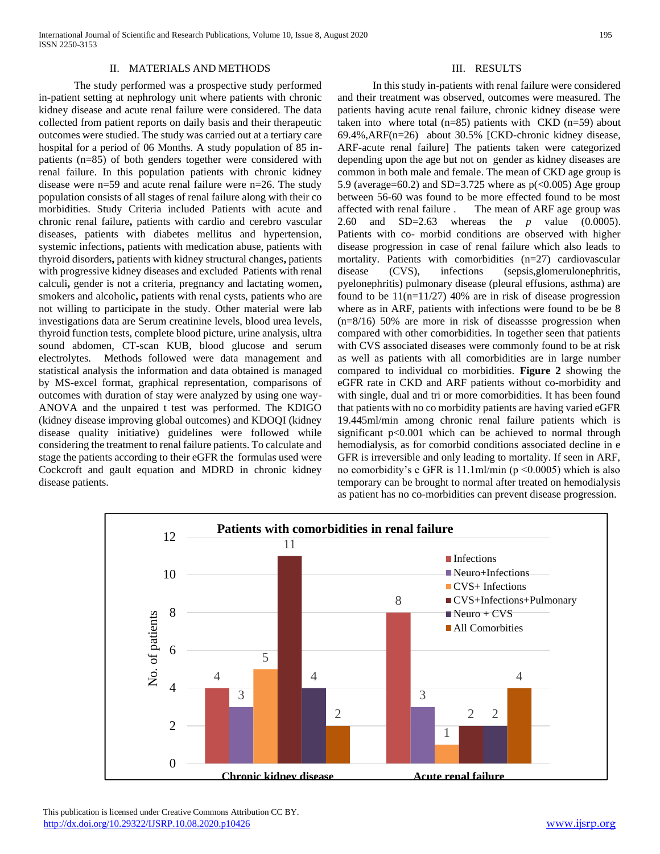## II. MATERIALS AND METHODS

 The study performed was a prospective study performed in-patient setting at nephrology unit where patients with chronic kidney disease and acute renal failure were considered. The data collected from patient reports on daily basis and their therapeutic outcomes were studied. The study was carried out at a tertiary care hospital for a period of 06 Months. A study population of 85 inpatients (n=85) of both genders together were considered with renal failure. In this population patients with chronic kidney disease were n=59 and acute renal failure were n=26. The study population consists of all stages of renal failure along with their co morbidities. Study Criteria included Patients with acute and chronic renal failure**,** patients with cardio and cerebro vascular diseases, patients with diabetes mellitus and hypertension, systemic infections**,** patients with medication abuse, patients with thyroid disorders**,** patients with kidney structural changes**,** patients with progressive kidney diseases and excludedPatients with renal calculi**,** gender is not a criteria, pregnancy and lactating women**,**  smokers and alcoholic**,** patients with renal cysts, patients who are not willing to participate in the study. Other material were lab investigations data are Serum creatinine levels, blood urea levels, thyroid function tests, complete blood picture, urine analysis, ultra sound abdomen, CT-scan KUB, blood glucose and serum electrolytes. Methods followed were data management and statistical analysis the information and data obtained is managed by MS-excel format, graphical representation, comparisons of outcomes with duration of stay were analyzed by using one way-ANOVA and the unpaired t test was performed. The KDIGO (kidney disease improving global outcomes) and KDOQI (kidney disease quality initiative) guidelines were followed while considering the treatment to renal failure patients. To calculate and stage the patients according to their eGFR the formulas used were Cockcroft and gault equation and MDRD in chronic kidney disease patients.

## III. RESULTS

 In this study in-patients with renal failure were considered and their treatment was observed, outcomes were measured. The patients having acute renal failure, chronic kidney disease were taken into where total  $(n=85)$  patients with CKD  $(n=59)$  about 69.4%,ARF(n=26) about 30.5% [CKD-chronic kidney disease, ARF-acute renal failure] The patients taken were categorized depending upon the age but not on gender as kidney diseases are common in both male and female. The mean of CKD age group is 5.9 (average=60.2) and SD=3.725 where as  $p(\leq 0.005)$  Age group between 56-60 was found to be more effected found to be most affected with renal failure . The mean of ARF age group was 2.60 and SD=2.63 whereas the *p* value (0.0005). Patients with co- morbid conditions are observed with higher disease progression in case of renal failure which also leads to mortality. Patients with comorbidities (n=27) cardiovascular disease (CVS), infections (sepsis,glomerulonephritis, pyelonephritis) pulmonary disease (pleural effusions, asthma) are found to be  $11(n=11/27)$  40% are in risk of disease progression where as in ARF, patients with infections were found to be be 8 (n=8/16) 50% are more in risk of diseassse progression when compared with other comorbidities. In together seen that patients with CVS associated diseases were commonly found to be at risk as well as patients with all comorbidities are in large number compared to individual co morbidities. **Figure 2** showing the eGFR rate in CKD and ARF patients without co-morbidity and with single, dual and tri or more comorbidities. It has been found that patients with no co morbidity patients are having varied eGFR 19.445ml/min among chronic renal failure patients which is significant p<0.001 which can be achieved to normal through hemodialysis, as for comorbid conditions associated decline in e GFR is irreversible and only leading to mortality. If seen in ARF, no comorbidity's e GFR is  $11.1$ ml/min (p <0.0005) which is also temporary can be brought to normal after treated on hemodialysis as patient has no co-morbidities can prevent disease progression.

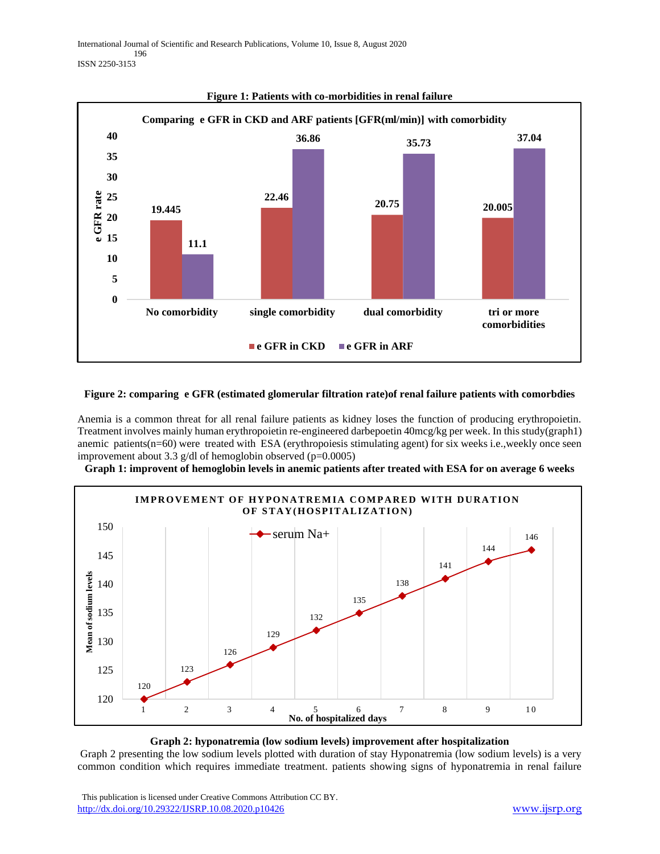

## **Figure 1: Patients with co-morbidities in renal failure**

## **Figure 2: comparing e GFR (estimated glomerular filtration rate)of renal failure patients with comorbdies**

Anemia is a common threat for all renal failure patients as kidney loses the function of producing erythropoietin. Treatment involves mainly human erythropoietin re-engineered darbepoetin 40mcg/kg per week. In this study(graph1) anemic patients(n=60) were treated with ESA (erythropoiesis stimulating agent) for six weeks i.e.,weekly once seen improvement about 3.3 g/dl of hemoglobin observed  $(p=0.0005)$ 



**Graph 1: improvent of hemoglobin levels in anemic patients after treated with ESA for on average 6 weeks**

## **Graph 2: hyponatremia (low sodium levels) improvement after hospitalization**

1 2 3 4 5 6 7 8 9 10

**No. of hospitalized days**

Graph 2 presenting the low sodium levels plotted with duration of stay Hyponatremia (low sodium levels) is a very common condition which requires immediate treatment. patients showing signs of hyponatremia in renal failure

120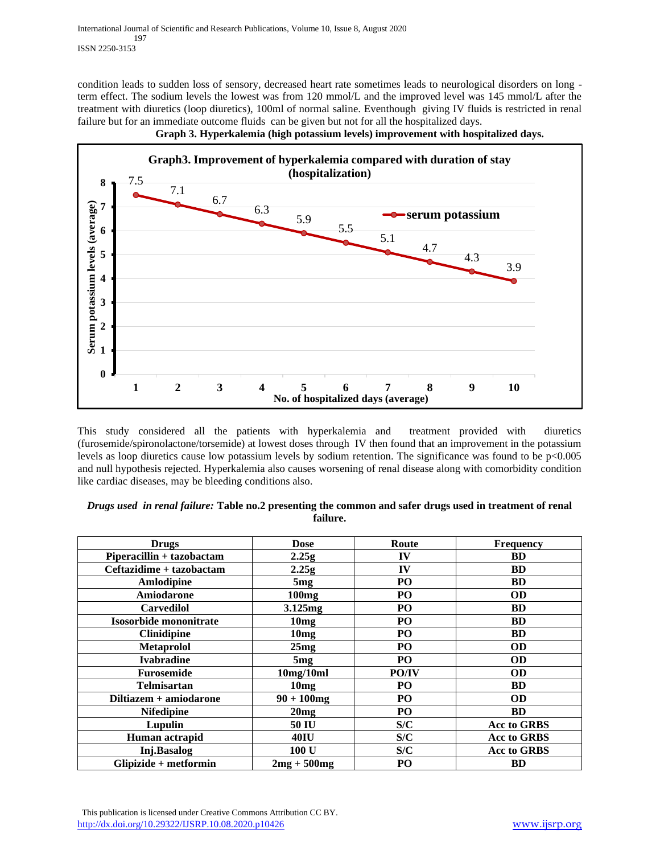condition leads to sudden loss of sensory, decreased heart rate sometimes leads to neurological disorders on long term effect. The sodium levels the lowest was from 120 mmol/L and the improved level was 145 mmol/L after the treatment with diuretics (loop diuretics), 100ml of normal saline. Eventhough giving IV fluids is restricted in renal failure but for an immediate outcome fluids can be given but not for all the hospitalized days.



 **Graph 3. Hyperkalemia (high potassium levels) improvement with hospitalized days.** 

This study considered all the patients with hyperkalemia and treatment provided with diuretics (furosemide/spironolactone/torsemide) at lowest doses through IV then found that an improvement in the potassium levels as loop diuretics cause low potassium levels by sodium retention. The significance was found to be p<0.005 and null hypothesis rejected. Hyperkalemia also causes worsening of renal disease along with comorbidity condition like cardiac diseases, may be bleeding conditions also.

| <b>Drugs</b>              | <b>Dose</b>   | Route          | <b>Frequency</b>   |
|---------------------------|---------------|----------------|--------------------|
|                           |               |                |                    |
| Piperacillin + tazobactam | 2.25g         | IV             | <b>BD</b>          |
| Ceftazidime + tazobactam  | 2.25g         | IV             | <b>BD</b>          |
| Amlodipine                | 5mg           | PO             | <b>BD</b>          |
| Amiodarone                | 100mg         | P <sub>O</sub> | <b>OD</b>          |
| <b>Carvedilol</b>         | 3.125mg       | P <sub>O</sub> | <b>BD</b>          |
| Isosorbide mononitrate    | 10mg          | PO             | <b>BD</b>          |
| <b>Clinidipine</b>        | 10mg          | P <sub>O</sub> | <b>BD</b>          |
| <b>Metaprolol</b>         | 25mg          | PO             | <b>OD</b>          |
| <b>Ivabradine</b>         | 5mg           | PO             | <b>OD</b>          |
| <b>Furosemide</b>         | 10mg/10ml     | PO/IV          | <b>OD</b>          |
| <b>Telmisartan</b>        | 10mg          | PO             | <b>BD</b>          |
| Diltiazem + amiodarone    | $90 + 100$ mg | P <sub>O</sub> | <b>OD</b>          |
| <b>Nifedipine</b>         | 20mg          | PO             | <b>BD</b>          |
| Lupulin                   | 50 IU         | S/C            | <b>Acc to GRBS</b> |
| Human actrapid            | <b>40IU</b>   | S/C            | <b>Acc to GRBS</b> |
| Inj.Basalog               | 100 U         | S/C            | <b>Acc to GRBS</b> |
| Glipizide + metformin     | $2mg + 500mg$ | P <sub>O</sub> | <b>BD</b>          |

## *Drugs used in renal failure:* **Table no.2 presenting the common and safer drugs used in treatment of renal failure.**

 This publication is licensed under Creative Commons Attribution CC BY. <http://dx.doi.org/10.29322/IJSRP.10.08.2020.p10426> [www.ijsrp.org](http://ijsrp.org/)